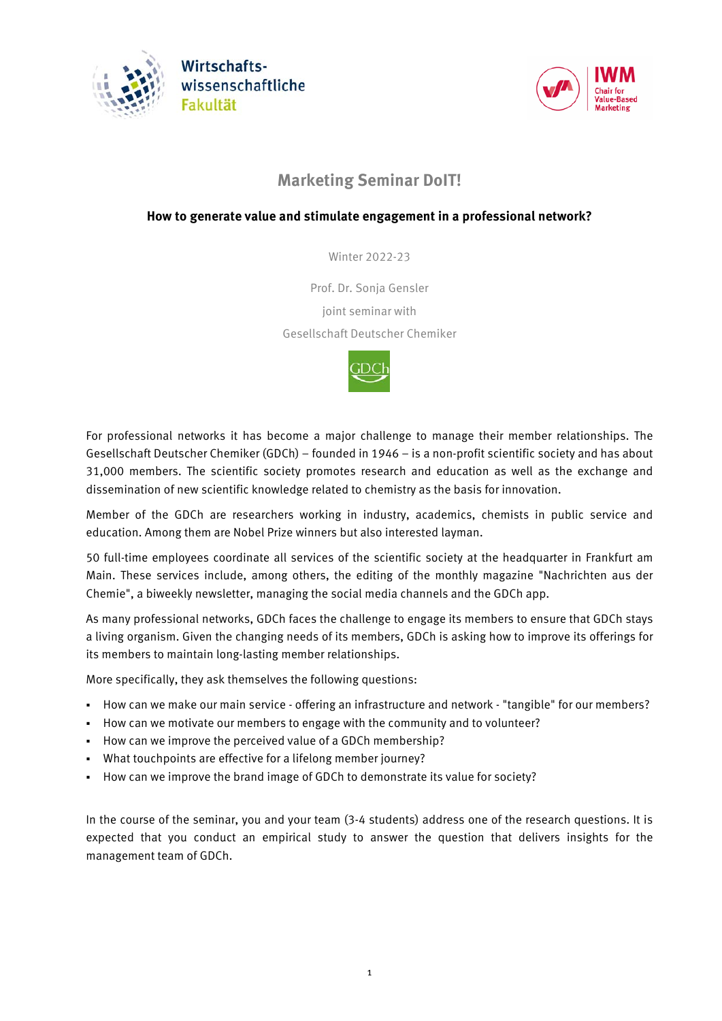



# **Marketing Seminar DoIT!**

## **How to generate value and stimulate engagement in a professional network?**

Winter 2022-23

Prof. Dr. Sonja Gensler joint seminar with Gesellschaft Deutscher Chemiker



For professional networks it has become a major challenge to manage their member relationships. The Gesellschaft Deutscher Chemiker (GDCh) – founded in 1946 – is a non-profit scientific society and has about 31,000 members. The scientific society promotes research and education as well as the exchange and dissemination of new scientific knowledge related to chemistry as the basis for innovation.

Member of the GDCh are researchers working in industry, academics, chemists in public service and education. Among them are Nobel Prize winners but also interested layman.

50 full-time employees coordinate all services of the scientific society at the headquarter in Frankfurt am Main. These services include, among others, the editing of the monthly magazine "Nachrichten aus der Chemie", a biweekly newsletter, managing the social media channels and the GDCh app.

As many professional networks, GDCh faces the challenge to engage its members to ensure that GDCh stays a living organism. Given the changing needs of its members, GDCh is asking how to improve its offerings for its members to maintain long-lasting member relationships.

More specifically, they ask themselves the following questions:

- How can we make our main service offering an infrastructure and network "tangible" for our members?
- How can we motivate our members to engage with the community and to volunteer?
- How can we improve the perceived value of a GDCh membership?
- What touchpoints are effective for a lifelong member journey?
- How can we improve the brand image of GDCh to demonstrate its value for society?

In the course of the seminar, you and your team (3-4 students) address one of the research questions. It is expected that you conduct an empirical study to answer the question that delivers insights for the management team of GDCh.